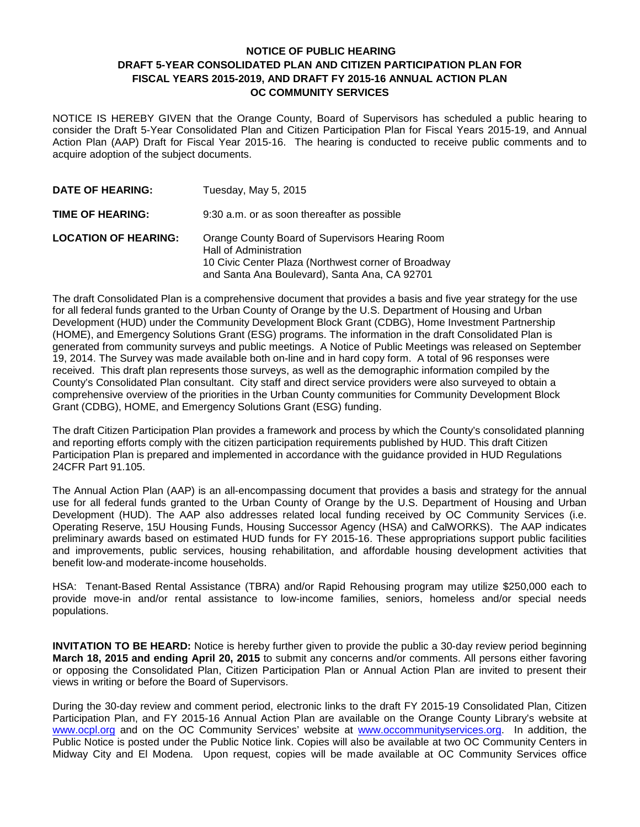## **NOTICE OF PUBLIC HEARING DRAFT 5-YEAR CONSOLIDATED PLAN AND CITIZEN PARTICIPATION PLAN FOR FISCAL YEARS 2015-2019, AND DRAFT FY 2015-16 ANNUAL ACTION PLAN OC COMMUNITY SERVICES**

NOTICE IS HEREBY GIVEN that the Orange County, Board of Supervisors has scheduled a public hearing to consider the Draft 5-Year Consolidated Plan and Citizen Participation Plan for Fiscal Years 2015-19, and Annual Action Plan (AAP) Draft for Fiscal Year 2015-16. The hearing is conducted to receive public comments and to acquire adoption of the subject documents.

| <b>DATE OF HEARING:</b>     | Tuesday, May 5, 2015                                                                                                                                                              |
|-----------------------------|-----------------------------------------------------------------------------------------------------------------------------------------------------------------------------------|
| TIME OF HEARING:            | 9:30 a.m. or as soon thereafter as possible                                                                                                                                       |
| <b>LOCATION OF HEARING:</b> | Orange County Board of Supervisors Hearing Room<br>Hall of Administration<br>10 Civic Center Plaza (Northwest corner of Broadway<br>and Santa Ana Boulevard), Santa Ana, CA 92701 |

The draft Consolidated Plan is a comprehensive document that provides a basis and five year strategy for the use for all federal funds granted to the Urban County of Orange by the U.S. Department of Housing and Urban Development (HUD) under the Community Development Block Grant (CDBG), Home Investment Partnership (HOME), and Emergency Solutions Grant (ESG) programs. The information in the draft Consolidated Plan is generated from community surveys and public meetings. A Notice of Public Meetings was released on September 19, 2014. The Survey was made available both on-line and in hard copy form. A total of 96 responses were received. This draft plan represents those surveys, as well as the demographic information compiled by the County's Consolidated Plan consultant. City staff and direct service providers were also surveyed to obtain a comprehensive overview of the priorities in the Urban County communities for Community Development Block Grant (CDBG), HOME, and Emergency Solutions Grant (ESG) funding.

The draft Citizen Participation Plan provides a framework and process by which the County's consolidated planning and reporting efforts comply with the citizen participation requirements published by HUD. This draft Citizen Participation Plan is prepared and implemented in accordance with the guidance provided in HUD Regulations 24CFR Part 91.105.

The Annual Action Plan (AAP) is an all-encompassing document that provides a basis and strategy for the annual use for all federal funds granted to the Urban County of Orange by the U.S. Department of Housing and Urban Development (HUD). The AAP also addresses related local funding received by OC Community Services (i.e. Operating Reserve, 15U Housing Funds, Housing Successor Agency (HSA) and CalWORKS). The AAP indicates preliminary awards based on estimated HUD funds for FY 2015-16. These appropriations support public facilities and improvements, public services, housing rehabilitation, and affordable housing development activities that benefit low-and moderate-income households.

HSA: Tenant-Based Rental Assistance (TBRA) and/or Rapid Rehousing program may utilize \$250,000 each to provide move-in and/or rental assistance to low-income families, seniors, homeless and/or special needs populations.

**INVITATION TO BE HEARD:** Notice is hereby further given to provide the public a 30-day review period beginning **March 18, 2015 and ending April 20, 2015** to submit any concerns and/or comments. All persons either favoring or opposing the Consolidated Plan, Citizen Participation Plan or Annual Action Plan are invited to present their views in writing or before the Board of Supervisors.

During the 30-day review and comment period, electronic links to the draft FY 2015-19 Consolidated Plan, Citizen Participation Plan, and FY 2015-16 Annual Action Plan are available on the Orange County Library's website at [www.ocpl.org](http://www.ocpl.org/) and on the OC Community Services' website at [www.occommunityservices.org.](http://www.occommunityservices.org/) In addition, the Public Notice is posted under the Public Notice link. Copies will also be available at two OC Community Centers in Midway City and El Modena. Upon request, copies will be made available at OC Community Services office